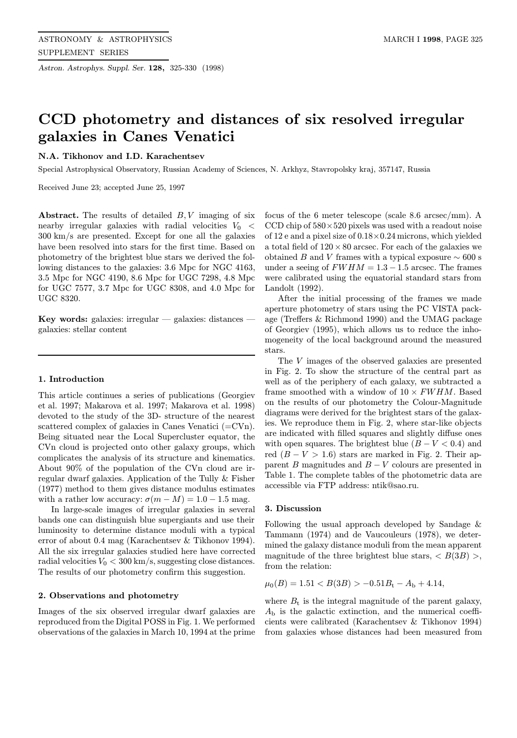Astron. Astrophys. Suppl. Ser. 128, 325-330 (1998)

# CCD photometry and distances of six resolved irregular galaxies in Canes Venatici

# N.A. Tikhonov and I.D. Karachentsev

Special Astrophysical Observatory, Russian Academy of Sciences, N. Arkhyz, Stavropolsky kraj, 357147, Russia

Received June 23; accepted June 25, 1997

Abstract. The results of detailed  $B, V$  imaging of six nearby irregular galaxies with radial velocities  $V_0 <$ 300 km/s are presented. Except for one all the galaxies have been resolved into stars for the first time. Based on photometry of the brightest blue stars we derived the following distances to the galaxies: 3.6 Mpc for NGC 4163, 3.5 Mpc for NGC 4190, 8.6 Mpc for UGC 7298, 4.8 Mpc for UGC 7577, 3.7 Mpc for UGC 8308, and 4.0 Mpc for UGC 8320.

Key words: galaxies: irregular — galaxies: distances galaxies: stellar content

#### 1. Introduction

This article continues a series of publications (Georgiev et al. 1997; Makarova et al. 1997; Makarova et al. 1998) devoted to the study of the 3D- structure of the nearest scattered complex of galaxies in Canes Venatici (=CVn). Being situated near the Local Supercluster equator, the CVn cloud is projected onto other galaxy groups, which complicates the analysis of its structure and kinematics. About 90% of the population of the CVn cloud are irregular dwarf galaxies. Application of the Tully & Fisher (1977) method to them gives distance modulus estimates with a rather low accuracy:  $\sigma(m-M)=1.0 - 1.5$  mag.

In large-scale images of irregular galaxies in several bands one can distinguish blue supergiants and use their luminosity to determine distance moduli with a typical error of about 0.4 mag (Karachentsev & Tikhonov 1994). All the six irregular galaxies studied here have corrected radial velocities  $V_0 < 300 \text{ km/s}$ , suggesting close distances. The results of our photometry confirm this suggestion.

## 2. Observations and photometry

Images of the six observed irregular dwarf galaxies are reproduced from the Digital POSS in Fig. 1. We performed observations of the galaxies in March 10, 1994 at the prime

focus of the 6 meter telescope (scale 8.6 arcsec/mm). A CCD chip of  $580 \times 520$  pixels was used with a readout noise of 12 e and a pixel size of 0.18×0.24 microns, which yielded a total field of  $120 \times 80$  arcsec. For each of the galaxies we obtained B and V frames with a typical exposure  $\sim$  600 s under a seeing of  $FWHM = 1.3 - 1.5$  arcsec. The frames were calibrated using the equatorial standard stars from Landolt (1992).

After the initial processing of the frames we made aperture photometry of stars using the PC VISTA package (Treffers & Richmond 1990) and the UMAG package of Georgiev (1995), which allows us to reduce the inhomogeneity of the local background around the measured stars.

The V images of the observed galaxies are presented in Fig. 2. To show the structure of the central part as well as of the periphery of each galaxy, we subtracted a frame smoothed with a window of  $10 \times FWHM$ . Based on the results of our photometry the Colour-Magnitude diagrams were derived for the brightest stars of the galaxies. We reproduce them in Fig. 2, where star-like objects are indicated with filled squares and slightly diffuse ones with open squares. The brightest blue  $(B - V < 0.4)$  and red  $(B - V > 1.6)$  stars are marked in Fig. 2. Their apparent B magnitudes and  $B - V$  colours are presented in Table 1. The complete tables of the photometric data are accessible via FTP address: ntik@sao.ru.

### 3. Discussion

Following the usual approach developed by Sandage & Tammann (1974) and de Vaucouleurs (1978), we determined the galaxy distance moduli from the mean apparent magnitude of the three brightest blue stars,  $\langle B(3B) \rangle$ , from the relation:

$$
\mu_0(B) = 1.51 < B(3B) > -0.51B_\mathrm{t} - A_\mathrm{b} + 4.14,
$$

where  $B_t$  is the integral magnitude of the parent galaxy,  $A_{\rm b}$  is the galactic extinction, and the numerical coefficients were calibrated (Karachentsev & Tikhonov 1994) from galaxies whose distances had been measured from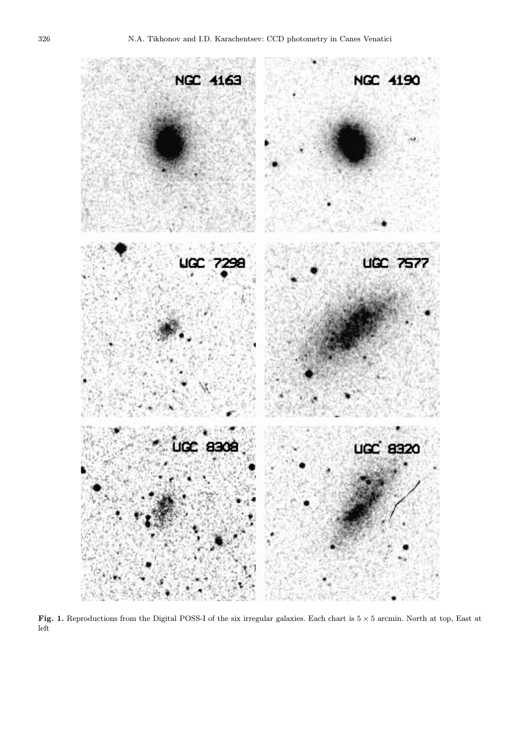

Fig. 1. Reproductions from the Digital POSS-I of the six irregular galaxies. Each chart is  $5 \times 5$  arcmin. North at top, East at left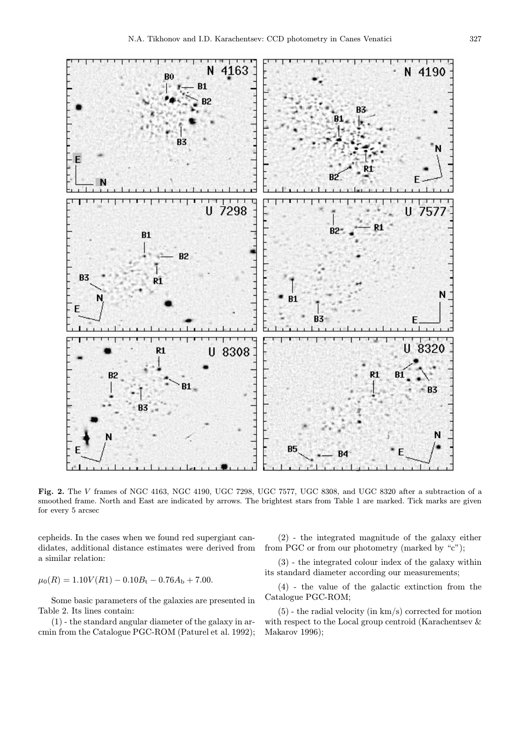

Fig. 2. The V frames of NGC 4163, NGC 4190, UGC 7298, UGC 7577, UGC 8308, and UGC 8320 after a subtraction of a smoothed frame. North and East are indicated by arrows. The brightest stars from Table 1 are marked. Tick marks are given for every 5 arcsec

cepheids. In the cases when we found red supergiant candidates, additional distance estimates were derived from a similar relation:

 $\mu_0(R)=1.10V(R1) - 0.10B_t - 0.76A_b + 7.00.$ 

Some basic parameters of the galaxies are presented in Table 2. Its lines contain:

(1) - the standard angular diameter of the galaxy in arcmin from the Catalogue PGC-ROM (Paturel et al. 1992);

(2) - the integrated magnitude of the galaxy either from PGC or from our photometry (marked by "c");

(3) - the integrated colour index of the galaxy within its standard diameter according our measurements;

(4) - the value of the galactic extinction from the Catalogue PGC-ROM;

(5) - the radial velocity (in km/s) corrected for motion with respect to the Local group centroid (Karachentsev & Makarov 1996);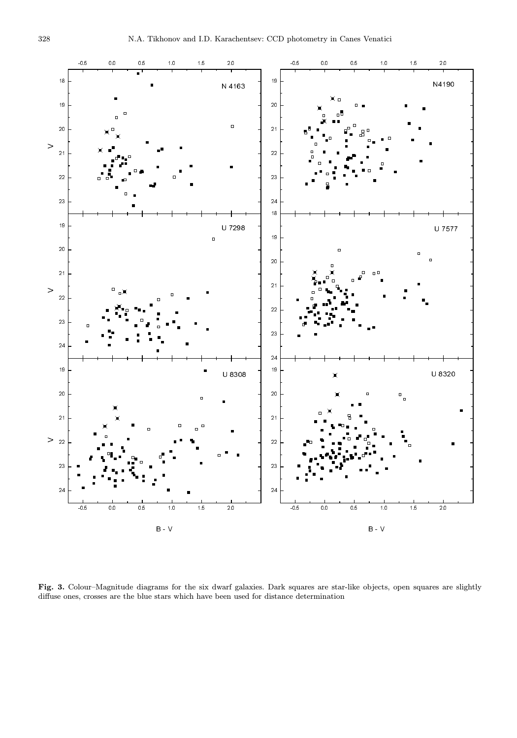

Fig. 3. Colour–Magnitude diagrams for the six dwarf galaxies. Dark squares are star-like objects, open squares are slightly diffuse ones, crosses are the blue stars which have been used for distance determination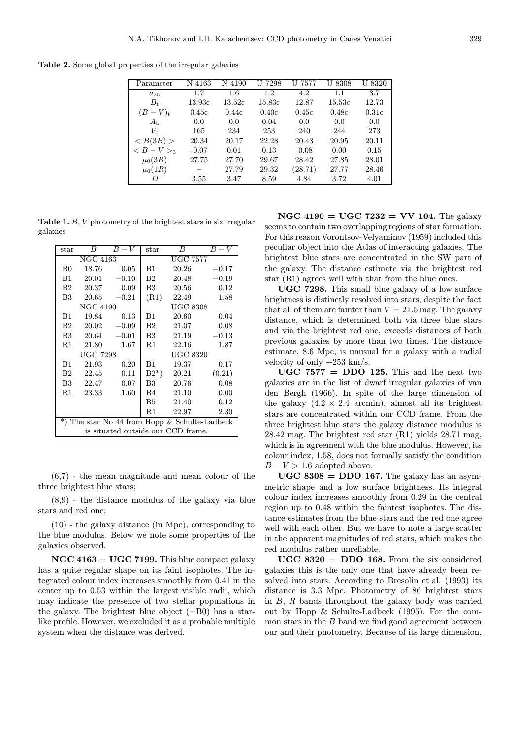Table 2. Some global properties of the irregular galaxies

| Parameter                         | N 4163  | N 4190 | 7298<br>U         | U 7577  | U 8308 | 8320<br>U |
|-----------------------------------|---------|--------|-------------------|---------|--------|-----------|
| $a_{25}$                          | 1.7     | 1.6    | 1.2               | 4.2     | 1.1    | 3.7       |
| B+                                | 13.93c  | 13.52c | $15.83\mathrm{c}$ | 12.87   | 15.53c | 12.73     |
| $(B-V)t$                          | 0.45c   | 0.44c  | 0.40c             | 0.45c   | 0.48c  | 0.31c     |
| A <sub>h</sub>                    | 0.0     | 0.0    | 0.04              | 0.0     | 0.0    | 0.0       |
| Vo                                | 165     | 234    | 253               | 240     | 244    | 273       |
| < B(3B) >                         | 20.34   | 20.17  | 22.28             | 20.43   | 20.95  | 20.11     |
| $\langle B-V\rangle$ <sub>3</sub> | $-0.07$ | 0.01   | 0.13              | $-0.08$ | 0.00   | 0.15      |
| $\mu_0(3B)$                       | 27.75   | 27.70  | 29.67             | 28.42   | 27.85  | 28.01     |
| $\mu_0(1R)$                       |         | 27.79  | 29.32             | (28.71) | 27.77  | 28.46     |
|                                   | 3.55    | 3.47   | 8.59              | 4.84    | 3.72   | 4.01      |

Table 1. B, V photometry of the brightest stars in six irregular galaxies

| $_{\rm star}$                                 | B     | $B-V$   | $_{\rm star}$   | В     | $B-V$   |  |  |
|-----------------------------------------------|-------|---------|-----------------|-------|---------|--|--|
| NGC 4163                                      |       |         | <b>UGC 7577</b> |       |         |  |  |
| B0                                            | 18.76 | 0.05    | Β1              | 20.26 | $-0.17$ |  |  |
| B1                                            | 20.01 | $-0.10$ | B <sub>2</sub>  | 20.48 | $-0.19$ |  |  |
| B <sub>2</sub>                                | 20.37 | 0.09    | B3              | 20.56 | 0.12    |  |  |
| B <sub>3</sub>                                | 20.65 | $-0.21$ | (R1)            | 22.49 | 1.58    |  |  |
| NGC 4190                                      |       |         | <b>UGC 8308</b> |       |         |  |  |
| B1                                            | 19.84 | 0.13    | Β1              | 20.60 | 0.04    |  |  |
| $_{\rm B2}$                                   | 20.02 | $-0.09$ | B2              | 21.07 | 0.08    |  |  |
| B3                                            | 20.64 | $-0.01$ | B3              | 21.19 | $-0.13$ |  |  |
| R1                                            | 21.80 | 1.67    | R1              | 22.16 | 1.87    |  |  |
| UGC 7298                                      |       |         | <b>UGC 8320</b> |       |         |  |  |
| B1                                            | 21.93 | 0.20    | B1              | 19.37 | 0.17    |  |  |
| B2                                            | 22.45 | 0.11    | $B2^*$          | 20.21 | (0.21)  |  |  |
| B <sub>3</sub>                                | 22.47 | 0.07    | B3 -            | 20.76 | 0.08    |  |  |
| R1                                            | 23.33 | 1.60    | B4              | 21.10 | 0.00    |  |  |
|                                               |       |         | B5              | 21.40 | 0.12    |  |  |
|                                               |       |         | R1              | 22.97 | 2.30    |  |  |
| *) The star No 44 from Hopp & Schulte-Ladbeck |       |         |                 |       |         |  |  |
| is situated outside our CCD frame.            |       |         |                 |       |         |  |  |

(6,7) - the mean magnitude and mean colour of the three brightest blue stars;

(8,9) - the distance modulus of the galaxy via blue stars and red one;

(10) - the galaxy distance (in Mpc), corresponding to the blue modulus. Below we note some properties of the galaxies observed.

 $NGC 4163 = UGC 7199$ . This blue compact galaxy has a quite regular shape on its faint isophotes. The integrated colour index increases smoothly from 0.41 in the center up to 0.53 within the largest visible radii, which may indicate the presence of two stellar populations in the galaxy. The brightest blue object  $(=B0)$  has a starlike profile. However, we excluded it as a probable multiple system when the distance was derived.

NGC 4190 = UGC 7232 = VV 104. The galaxy seems to contain two overlapping regions of star formation. For this reason Vorontsov-Velyaminov (1959) included this peculiar object into the Atlas of interacting galaxies. The brightest blue stars are concentrated in the SW part of the galaxy. The distance estimate via the brightest red star (R1) agrees well with that from the blue ones.

UGC 7298. This small blue galaxy of a low surface brightness is distinctly resolved into stars, despite the fact that all of them are fainter than  $V = 21.5$  mag. The galaxy distance, which is determined both via three blue stars and via the brightest red one, exceeds distances of both previous galaxies by more than two times. The distance estimate, 8.6 Mpc, is unusual for a galaxy with a radial velocity of only  $+253$  km/s.

UGC  $7577 = DDO 125$ . This and the next two galaxies are in the list of dwarf irregular galaxies of van den Bergh (1966). In spite of the large dimension of the galaxy  $(4.2 \times 2.4 \text{ arcmin})$ , almost all its brightest stars are concentrated within our CCD frame. From the three brightest blue stars the galaxy distance modulus is 28.42 mag. The brightest red star (R1) yields 28.71 mag, which is in agreement with the blue modulus. However, its colour index, 1.58, does not formally satisfy the condition  $B - V > 1.6$  adopted above.

 $UGC 8308 = DDO 167$ . The galaxy has an asymmetric shape and a low surface brightness. Its integral colour index increases smoothly from 0.29 in the central region up to 0.48 within the faintest isophotes. The distance estimates from the blue stars and the red one agree well with each other. But we have to note a large scatter in the apparent magnitudes of red stars, which makes the red modulus rather unreliable.

 $UGC 8320 = DDO 168$ . From the six considered galaxies this is the only one that have already been resolved into stars. According to Bresolin et al. (1993) its distance is 3.3 Mpc. Photometry of 86 brightest stars in  $B$ ,  $R$  bands throughout the galaxy body was carried out by Hopp & Schulte-Ladbeck (1995). For the common stars in the  $B$  band we find good agreement between our and their photometry. Because of its large dimension,